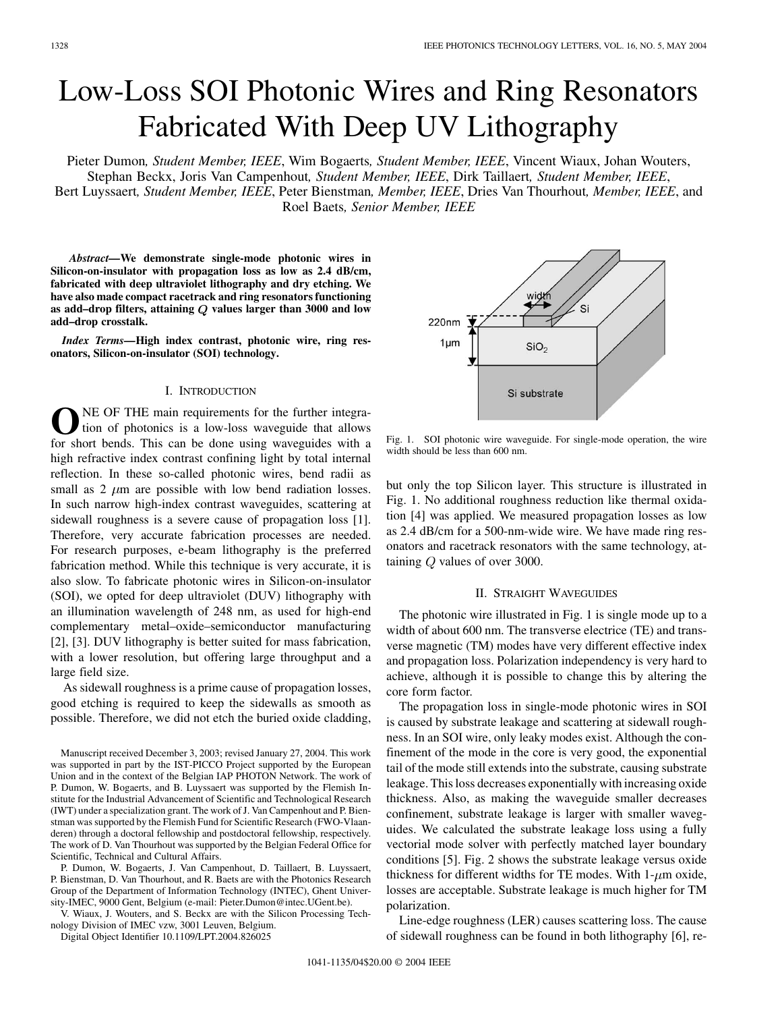# Low-Loss SOI Photonic Wires and Ring Resonators Fabricated With Deep UV Lithography

Pieter Dumon*, Student Member, IEEE*, Wim Bogaerts*, Student Member, IEEE*, Vincent Wiaux, Johan Wouters, Stephan Beckx, Joris Van Campenhout*, Student Member, IEEE*, Dirk Taillaert*, Student Member, IEEE*, Bert Luyssaert*, Student Member, IEEE*, Peter Bienstman*, Member, IEEE*, Dries Van Thourhout*, Member, IEEE*, and Roel Baets*, Senior Member, IEEE*

*Abstract—***We demonstrate single-mode photonic wires in Silicon-on-insulator with propagation loss as low as 2.4 dB/cm, fabricated with deep ultraviolet lithography and dry etching. We have also made compact racetrack and ring resonators functioning** as add–drop filters, attaining Q values larger than 3000 and low **add–drop crosstalk.**

*Index Terms—***High index contrast, photonic wire, ring resonators, Silicon-on-insulator (SOI) technology.**

#### I. INTRODUCTION

NE OF THE main requirements for the further integration of photonics is a low-loss waveguide that allows for short bends. This can be done using waveguides with a high refractive index contrast confining light by total internal reflection. In these so-called photonic wires, bend radii as small as 2  $\mu$ m are possible with low bend radiation losses. In such narrow high-index contrast waveguides, scattering at sidewall roughness is a severe cause of propagation loss [[1\]](#page-2-0). Therefore, very accurate fabrication processes are needed. For research purposes, e-beam lithography is the preferred fabrication method. While this technique is very accurate, it is also slow. To fabricate photonic wires in Silicon-on-insulator (SOI), we opted for deep ultraviolet (DUV) lithography with an illumination wavelength of 248 nm, as used for high-end complementary metal–oxide–semiconductor manufacturing [[2\]](#page-2-0), [[3\]](#page-2-0). DUV lithography is better suited for mass fabrication, with a lower resolution, but offering large throughput and a large field size.

As sidewall roughness is a prime cause of propagation losses, good etching is required to keep the sidewalls as smooth as possible. Therefore, we did not etch the buried oxide cladding,

P. Dumon, W. Bogaerts, J. Van Campenhout, D. Taillaert, B. Luyssaert, P. Bienstman, D. Van Thourhout, and R. Baets are with the Photonics Research Group of the Department of Information Technology (INTEC), Ghent University-IMEC, 9000 Gent, Belgium (e-mail: Pieter.Dumon@intec.UGent.be).

V. Wiaux, J. Wouters, and S. Beckx are with the Silicon Processing Technology Division of IMEC vzw, 3001 Leuven, Belgium.

Digital Object Identifier 10.1109/LPT.2004.826025



Fig. 1. SOI photonic wire waveguide. For single-mode operation, the wire width should be less than 600 nm.

but only the top Silicon layer. This structure is illustrated in Fig. 1. No additional roughness reduction like thermal oxidation [[4\]](#page-2-0) was applied. We measured propagation losses as low as 2.4 dB/cm for a 500-nm-wide wire. We have made ring resonators and racetrack resonators with the same technology, attaining  $Q$  values of over 3000.

## II. STRAIGHT WAVEGUIDES

The photonic wire illustrated in Fig. 1 is single mode up to a width of about 600 nm. The transverse electrice (TE) and transverse magnetic (TM) modes have very different effective index and propagation loss. Polarization independency is very hard to achieve, although it is possible to change this by altering the core form factor.

The propagation loss in single-mode photonic wires in SOI is caused by substrate leakage and scattering at sidewall roughness. In an SOI wire, only leaky modes exist. Although the confinement of the mode in the core is very good, the exponential tail of the mode still extends into the substrate, causing substrate leakage. This loss decreases exponentially with increasing oxide thickness. Also, as making the waveguide smaller decreases confinement, substrate leakage is larger with smaller waveguides. We calculated the substrate leakage loss using a fully vectorial mode solver with perfectly matched layer boundary conditions [\[5](#page-2-0)]. Fig. 2 shows the substrate leakage versus oxide thickness for different widths for TE modes. With  $1-\mu m$  oxide, losses are acceptable. Substrate leakage is much higher for TM polarization.

Line-edge roughness (LER) causes scattering loss. The cause of sidewall roughness can be found in both lithography [\[6](#page-2-0)], re-

Manuscript received December 3, 2003; revised January 27, 2004. This work was supported in part by the IST-PICCO Project supported by the European Union and in the context of the Belgian IAP PHOTON Network. The work of P. Dumon, W. Bogaerts, and B. Luyssaert was supported by the Flemish Institute for the Industrial Advancement of Scientific and Technological Research (IWT) under a specialization grant. The work of J. Van Campenhout and P. Bienstman was supported by the Flemish Fund for Scientific Research (FWO-Vlaanderen) through a doctoral fellowship and postdoctoral fellowship, respectively. The work of D. Van Thourhout was supported by the Belgian Federal Office for Scientific, Technical and Cultural Affairs.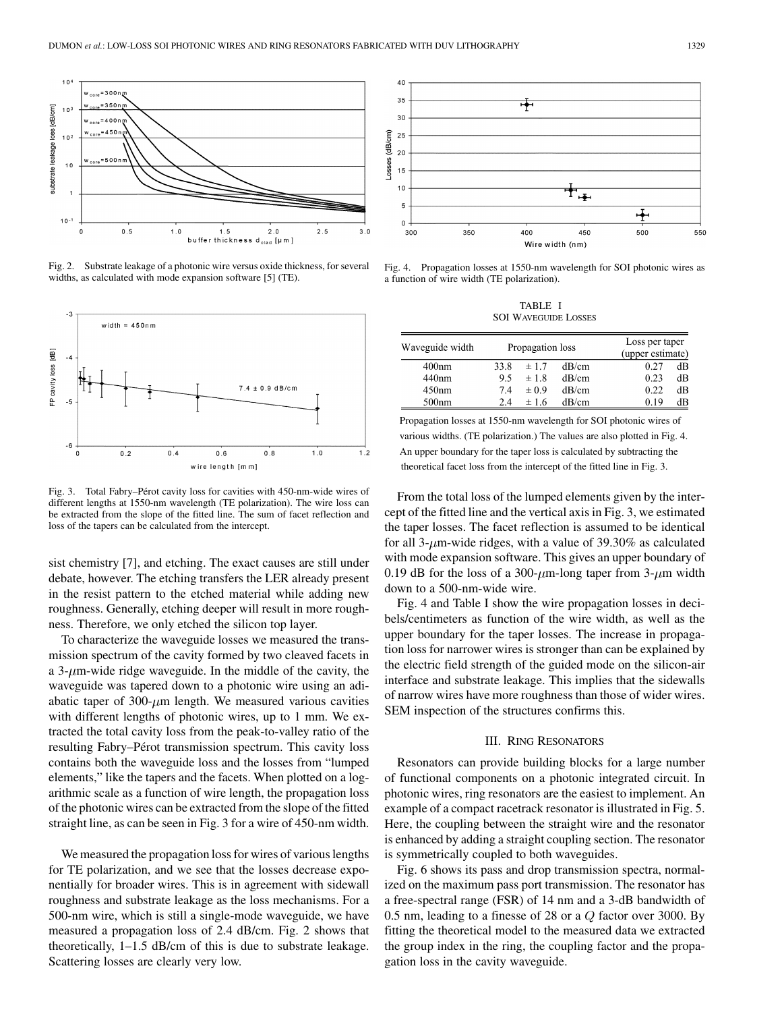

Fig. 2. Substrate leakage of a photonic wire versus oxide thickness, for several widths, as calculated with mode expansion software [\[5](#page-2-0)] (TE).



Fig. 3. Total Fabry–Pérot cavity loss for cavities with 450-nm-wide wires of different lengths at 1550-nm wavelength (TE polarization). The wire loss can be extracted from the slope of the fitted line. The sum of facet reflection and loss of the tapers can be calculated from the intercept.

sist chemistry [\[7](#page-2-0)], and etching. The exact causes are still under debate, however. The etching transfers the LER already present in the resist pattern to the etched material while adding new roughness. Generally, etching deeper will result in more roughness. Therefore, we only etched the silicon top layer.

To characterize the waveguide losses we measured the transmission spectrum of the cavity formed by two cleaved facets in a 3- $\mu$ m-wide ridge waveguide. In the middle of the cavity, the waveguide was tapered down to a photonic wire using an adiabatic taper of  $300$ - $\mu$ m length. We measured various cavities with different lengths of photonic wires, up to 1 mm. We extracted the total cavity loss from the peak-to-valley ratio of the resulting Fabry–Pérot transmission spectrum. This cavity loss contains both the waveguide loss and the losses from "lumped elements," like the tapers and the facets. When plotted on a logarithmic scale as a function of wire length, the propagation loss of the photonic wires can be extracted from the slope of the fitted straight line, as can be seen in Fig. 3 for a wire of 450-nm width.

We measured the propagation loss for wires of various lengths for TE polarization, and we see that the losses decrease exponentially for broader wires. This is in agreement with sidewall roughness and substrate leakage as the loss mechanisms. For a 500-nm wire, which is still a single-mode waveguide, we have measured a propagation loss of 2.4 dB/cm. Fig. 2 shows that theoretically, 1–1.5 dB/cm of this is due to substrate leakage. Scattering losses are clearly very low.



Fig. 4. Propagation losses at 1550-nm wavelength for SOI photonic wires as a function of wire width (TE polarization).

TABLE I SOI WAVEGUIDE LOSSES

| Waveguide width   | Propagation loss |           |       | Loss per taper<br>(upper estimate) |    |
|-------------------|------------------|-----------|-------|------------------------------------|----|
| 400nm             | 33.8             | $\pm 1.7$ | dB/cm | 0.27                               | dВ |
| 440nm             | 95               | ±18       | dB/cm | 0.23                               | đВ |
| 450 <sub>nm</sub> | 7.4              | $\pm 0.9$ | dB/cm | 0.22                               | dВ |
| 500 <sub>nm</sub> | 2.4              | $+16$     | dB/cm | 0.19                               | dВ |

Propagation losses at 1550-nm wavelength for SOI photonic wires of various widths. (TE polarization.) The values are also plotted in Fig. 4. An upper boundary for the taper loss is calculated by subtracting the theoretical facet loss from the intercept of the fitted line in Fig. 3.

From the total loss of the lumped elements given by the intercept of the fitted line and the vertical axis in Fig. 3, we estimated the taper losses. The facet reflection is assumed to be identical for all 3- $\mu$ m-wide ridges, with a value of 39.30% as calculated with mode expansion software. This gives an upper boundary of 0.19 dB for the loss of a 300- $\mu$ m-long taper from 3- $\mu$ m width down to a 500-nm-wide wire.

Fig. 4 and Table I show the wire propagation losses in decibels/centimeters as function of the wire width, as well as the upper boundary for the taper losses. The increase in propagation loss for narrower wires is stronger than can be explained by the electric field strength of the guided mode on the silicon-air interface and substrate leakage. This implies that the sidewalls of narrow wires have more roughness than those of wider wires. SEM inspection of the structures confirms this.

#### III. RING RESONATORS

Resonators can provide building blocks for a large number of functional components on a photonic integrated circuit. In photonic wires, ring resonators are the easiest to implement. An example of a compact racetrack resonator is illustrated in Fig. 5. Here, the coupling between the straight wire and the resonator is enhanced by adding a straight coupling section. The resonator is symmetrically coupled to both waveguides.

Fig. 6 shows its pass and drop transmission spectra, normalized on the maximum pass port transmission. The resonator has a free-spectral range (FSR) of 14 nm and a 3-dB bandwidth of 0.5 nm, leading to a finesse of 28 or a  $Q$  factor over 3000. By fitting the theoretical model to the measured data we extracted the group index in the ring, the coupling factor and the propagation loss in the cavity waveguide.